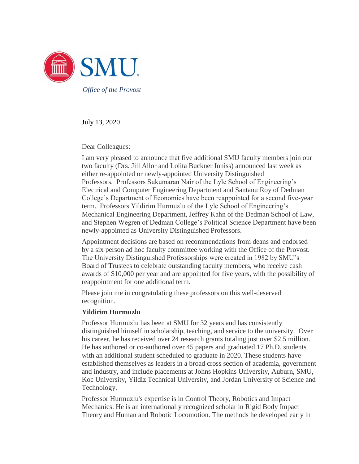

July 13, 2020

Dear Colleagues:

I am very pleased to announce that five additional SMU faculty members join our two faculty (Drs. Jill Allor and Lolita Buckner Inniss) announced last week as either re-appointed or newly-appointed University Distinguished Professors. Professors Sukumaran Nair of the Lyle School of Engineering's Electrical and Computer Engineering Department and Santanu Roy of Dedman College's Department of Economics have been reappointed for a second five-year term. Professors Yildirim Hurmuzlu of the Lyle School of Engineering's Mechanical Engineering Department, Jeffrey Kahn of the Dedman School of Law, and Stephen Wegren of Dedman College's Political Science Department have been newly-appointed as University Distinguished Professors.

Appointment decisions are based on recommendations from deans and endorsed by a six person ad hoc faculty committee working with the Office of the Provost. The University Distinguished Professorships were created in 1982 by SMU's Board of Trustees to celebrate outstanding faculty members, who receive cash awards of \$10,000 per year and are appointed for five years, with the possibility of reappointment for one additional term.

Please join me in congratulating these professors on this well-deserved recognition.

# **Yildirim Hurmuzlu**

Professor Hurmuzlu has been at SMU for 32 years and has consistently distinguished himself in scholarship, teaching, and service to the university. Over his career, he has received over 24 research grants totaling just over \$2.5 million. He has authored or co-authored over 45 papers and graduated 17 Ph.D. students with an additional student scheduled to graduate in 2020. These students have established themselves as leaders in a broad cross section of academia, government and industry, and include placements at Johns Hopkins University, Auburn, SMU, Koc University, Yildiz Technical University, and Jordan University of Science and Technology.

Professor Hurmuzlu's expertise is in Control Theory, Robotics and Impact Mechanics. He is an internationally recognized scholar in Rigid Body Impact Theory and Human and Robotic Locomotion. The methods he developed early in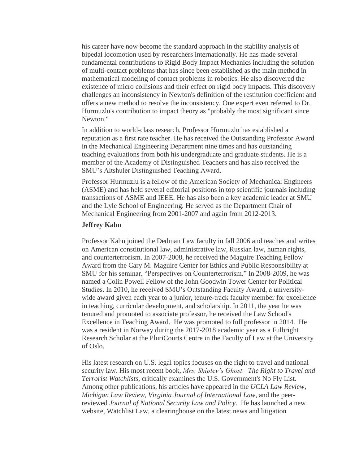his career have now become the standard approach in the stability analysis of bipedal locomotion used by researchers internationally. He has made several fundamental contributions to Rigid Body Impact Mechanics including the solution of multi-contact problems that has since been established as the main method in mathematical modeling of contact problems in robotics. He also discovered the existence of micro collisions and their effect on rigid body impacts. This discovery challenges an inconsistency in Newton's definition of the restitution coefficient and offers a new method to resolve the inconsistency. One expert even referred to Dr. Hurmuzlu's contribution to impact theory as "probably the most significant since Newton."

In addition to world-class research, Professor Hurmuzlu has established a reputation as a first rate teacher. He has received the Outstanding Professor Award in the Mechanical Engineering Department nine times and has outstanding teaching evaluations from both his undergraduate and graduate students. He is a member of the Academy of Distinguished Teachers and has also received the SMU's Altshuler Distinguished Teaching Award.

Professor Hurmuzlu is a fellow of the American Society of Mechanical Engineers (ASME) and has held several editorial positions in top scientific journals including transactions of ASME and IEEE. He has also been a key academic leader at SMU and the Lyle School of Engineering. He served as the Department Chair of Mechanical Engineering from 2001-2007 and again from 2012-2013.

# **Jeffrey Kahn**

Professor Kahn joined the Dedman Law faculty in fall 2006 and teaches and writes on American constitutional law, administrative law, Russian law, human rights, and counterterrorism. In 2007-2008, he received the Maguire Teaching Fellow Award from the Cary M. Maguire Center for Ethics and Public Responsibility at SMU for his seminar, "Perspectives on Counterterrorism." In 2008-2009, he was named a Colin Powell Fellow of the John Goodwin Tower Center for Political Studies. In 2010, he received SMU's Outstanding Faculty Award, a universitywide award given each year to a junior, tenure-track faculty member for excellence in teaching, curricular development, and scholarship. In 2011, the year he was tenured and promoted to associate professor, he received the Law School's Excellence in Teaching Award. He was promoted to full professor in 2014. He was a resident in Norway during the 2017-2018 academic year as a Fulbright Research Scholar at the PluriCourts Centre in the Faculty of Law at the University of Oslo.

His latest research on U.S. legal topics focuses on the right to travel and national security law. His most recent book, *Mrs. Shipley's Ghost: The Right to Travel and Terrorist Watchlists*, critically examines the U.S. Government's No Fly List. Among other publications, his articles have appeared in the *UCLA Law Review*, *Michigan Law Review*, *Virginia Journal of International Law*, and the peerreviewed *Journal of National Security Law and Policy*. He has launched a new website, Watchlist Law, a clearinghouse on the latest news and litigation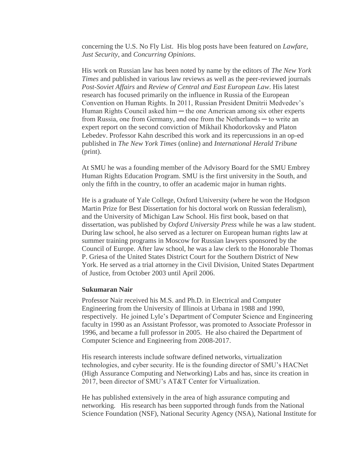concerning the U.S. No Fly List. His blog posts have been featured on *Lawfare*, *Just Security*, and *Concurring Opinions*.

His work on Russian law has been noted by name by the editors of *The New York Times* and published in various law reviews as well as the peer-reviewed journals *Post-Soviet Affairs* and *Review of Central and East European Law*. His latest research has focused primarily on the influence in Russia of the European Convention on Human Rights. In 2011, Russian President Dmitrii Medvedev's Human Rights Council asked him  $-$  the one American among six other experts from Russia, one from Germany, and one from the Netherlands — to write an expert report on the second conviction of Mikhail Khodorkovsky and Platon Lebedev. Professor Kahn described this work and its repercussions in an op-ed published in *The New York Times* (online) and *International Herald Tribune* (print).

At SMU he was a founding member of the Advisory Board for the SMU Embrey Human Rights Education Program. SMU is the first university in the South, and only the fifth in the country, to offer an academic major in human rights.

He is a graduate of Yale College, Oxford University (where he won the Hodgson Martin Prize for Best Dissertation for his doctoral work on Russian federalism), and the University of Michigan Law School. His first book, based on that dissertation, was published by *Oxford University Press* while he was a law student. During law school, he also served as a lecturer on European human rights law at summer training programs in Moscow for Russian lawyers sponsored by the Council of Europe. After law school, he was a law clerk to the Honorable Thomas P. Griesa of the United States District Court for the Southern District of New York. He served as a trial attorney in the Civil Division, United States Department of Justice, from October 2003 until April 2006.

### **Sukumaran Nair**

Professor Nair received his M.S. and Ph.D. in Electrical and Computer Engineering from the University of Illinois at Urbana in 1988 and 1990, respectively. He joined Lyle's Department of Computer Science and Engineering faculty in 1990 as an Assistant Professor, was promoted to Associate Professor in 1996, and became a full professor in 2005. He also chaired the Department of Computer Science and Engineering from 2008-2017.

His research interests include software defined networks, virtualization technologies, and cyber security. He is the founding director of SMU's HACNet (High Assurance Computing and Networking) Labs and has, since its creation in 2017, been director of SMU's AT&T Center for Virtualization.

He has published extensively in the area of high assurance computing and networking. His research has been supported through funds from the National Science Foundation (NSF), National Security Agency (NSA), National Institute for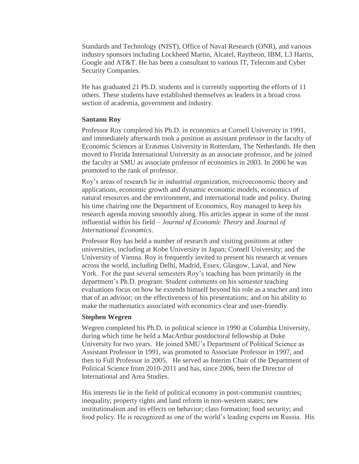Standards and Technology (NIST), Office of Naval Research (ONR), and various industry sponsors including Lockheed Martin, Alcatel, Raytheon, IBM, L3 Harris, Google and AT&T. He has been a consultant to various IT, Telecom and Cyber Security Companies.

He has graduated 21 Ph.D. students and is currently supporting the efforts of 11 others. These students have established themselves as leaders in a broad cross section of academia, government and industry.

# **Santanu Roy**

Professor Roy completed his Ph.D. in economics at Cornell University in 1991, and immediately afterwards took a position as assistant professor in the faculty of Economic Sciences at Erasmus University in Rotterdam, The Netherlands. He then moved to Florida International University as an associate professor, and he joined the faculty at SMU as associate professor of economics in 2003. In 2006 he was promoted to the rank of professor.

Roy's areas of research lie in industrial organization, microeconomic theory and applications, economic growth and dynamic economic models, economics of natural resources and the environment, and international trade and policy. During his time chairing one the Department of Economics, Roy managed to keep his research agenda moving smoothly along. His articles appear in some of the most influential within his field – *Journal of Economic Theory* and *Journal of International Economics*.

Professor Roy has held a number of research and visiting positions at other universities, including at Kobe University in Japan; Cornell University; and the University of Vienna. Roy is frequently invited to present his research at venues across the world, including Delhi, Madrid, Essex, Glasgow, Laval, and New York. For the past several semesters Roy's teaching has been primarily in the department's Ph.D. program. Student comments on his semester teaching evaluations focus on how he extends himself beyond his role as a teacher and into that of an advisor; on the effectiveness of his presentations; and on his ability to make the mathematics associated with economics clear and user-friendly.

# **Stephen Wegren**

Wegren completed his Ph.D. in political science in 1990 at Columbia University, during which time he held a MacArthur postdoctoral fellowship at Duke University for two years. He joined SMU's Department of Political Science as Assistant Professor in 1991, was promoted to Associate Professor in 1997, and then to Full Professor in 2005. He served as Interim Chair of the Department of Political Science from 2010-2011 and has, since 2006, been the Director of International and Area Studies.

His interests lie in the field of political economy in post-communist countries; inequality; property rights and land reform in non-western states; new institutionalism and its effects on behavior; class formation; food security; and food policy. He is recognized as one of the world's leading experts on Russia. His